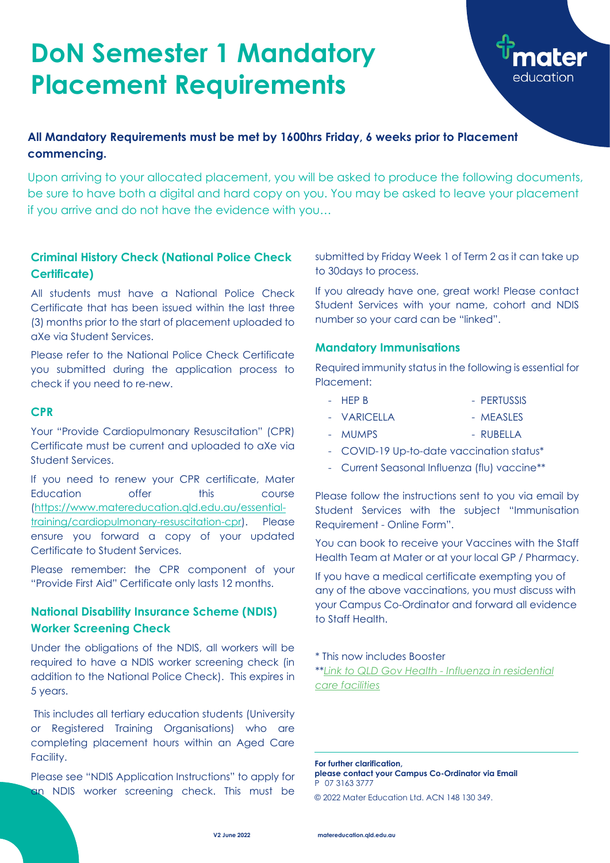#### **Criminal History Check (National Police Check Certificate)**

All students must have a National Police Check Certificate that has been issued within the last three (3) months prior to the start of placement uploaded to aXe via Student Services.

Please refer to the National Police Check Certificate you submitted during the application process to check if you need to re-new.

#### **CPR**

Your "Provide Cardiopulmonary Resuscitation" (CPR) Certificate must be current and uploaded to aXe via Student Services.

Please see "NDIS Application Instructions" to apply for an NDIS worker screening check. This must be

If you need to renew your CPR certificate, Mater Education offer this course [\(https://www.matereducation.qld.edu.au/essential](https://www.matereducation.qld.edu.au/essential-training/cardiopulmonary-resuscitation-cpr)[training/cardiopulmonary-resuscitation-cpr\)](https://www.matereducation.qld.edu.au/essential-training/cardiopulmonary-resuscitation-cpr). Please ensure you forward a copy of your updated Certificate to Student Services.

Please remember: the CPR component of your "Provide First Aid" Certificate only lasts 12 months.

### **National Disability Insurance Scheme (NDIS) Worker Screening Check**

- HEP B PERTUSSIS
- VARICELLA MEASLES
- MUMPS RUBELLA
- COVID-19 Up-to-date vaccination status\*
- Current Seasonal Influenza (flu) vaccine\*\*

Under the obligations of the NDIS, all workers will be required to have a NDIS worker screening check (in addition to the National Police Check). This expires in 5 years.

This includes all tertiary education students (University or Registered Training Organisations) who are completing placement hours within an Aged Care Facility.

submitted by Friday Week 1 of Term 2 as it can take up to 30days to process.

If you already have one, great work! Please contact Student Services with your name, cohort and NDIS number so your card can be "linked".

#### **Mandatory Immunisations**

Required immunity status in the following is essential for Placement:

Please follow the instructions sent to you via email by Student Services with the subject "Immunisation Requirement - Online Form".

You can book to receive your Vaccines with the Staff Health Team at Mater or at your local GP / Pharmacy.

If you have a medical certificate exempting you of any of the above vaccinations, you must discuss with your Campus Co-Ordinator and forward all evidence to Staff Health.

\* This now includes Booster

\*\**[Link to QLD Gov Health -](https://www.health.qld.gov.au/public-health/industry-environment/care-facilities/prevention/influenza-in-residential-care-facilities#:~:text=The%20Chief%20Health%20Officer%20public,tradesman%2C%20gardeners%20and%20maintenance%20staff) Influenza in residential [care facilities](https://www.health.qld.gov.au/public-health/industry-environment/care-facilities/prevention/influenza-in-residential-care-facilities#:~:text=The%20Chief%20Health%20Officer%20public,tradesman%2C%20gardeners%20and%20maintenance%20staff)*

# **DoN Semester 1 Mandatory Placement Requirements**



### **All Mandatory Requirements must be met by 1600hrs Friday, 6 weeks prior to Placement commencing.**

Upon arriving to your allocated placement, you will be asked to produce the following documents, be sure to have both a digital and hard copy on you. You may be asked to leave your placement if you arrive and do not have the evidence with you…

> **For further clarification, please contact your Campus Co-Ordinator via Email** P 07 3163 3777

© 2022 Mater Education Ltd. ACN 148 130 349.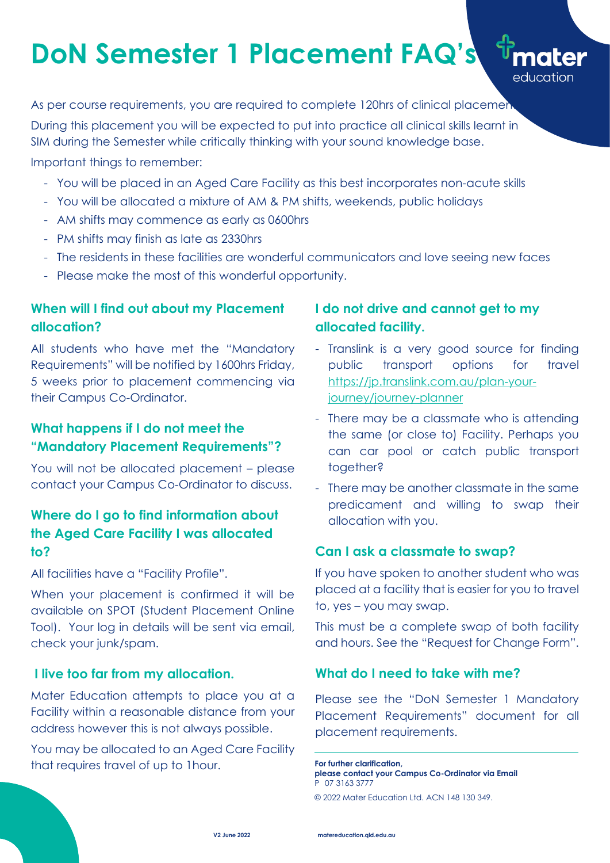# **When will I find out about my Placement allocation?**

All students who have met the "Mandatory Requirements" will be notified by 1600hrs Friday, 5 weeks prior to placement commencing via their Campus Co-Ordinator.

# **What happens if I do not meet the "Mandatory Placement Requirements"?**

When your placement is confirmed it will be available on SPOT (Student Placement Online Tool). Your log in details will be sent via email, check your junk/spam.

You will not be allocated placement – please contact your Campus Co-Ordinator to discuss.

# **Where do I go to find information about the Aged Care Facility I was allocated to?**

All facilities have a "Facility Profile".

### **I live too far from my allocation.**

Mater Education attempts to place you at a Facility within a reasonable distance from your address however this is not always possible.

You may be allocated to an Aged Care Facility that requires travel of up to 1hour.

# **I do not drive and cannot get to my allocated facility.**

As per course requirements, you are required to complete 120hrs of clinical placement During this placement you will be expected to put into practice all clinical skills learnt in SIM during the Semester while critically thinking with your sound knowledge base.

> - Translink is a very good source for finding public transport options for travel [https://jp.translink.com.au/plan-your](https://jp.translink.com.au/plan-your-journey/journey-planner)[journey/journey-planner](https://jp.translink.com.au/plan-your-journey/journey-planner)

education

- There may be a classmate who is attending the same (or close to) Facility. Perhaps you can car pool or catch public transport together?
- There may be another classmate in the same predicament and willing to swap their allocation with you.

## **Can I ask a classmate to swap?**

If you have spoken to another student who was placed at a facility that is easier for you to travel to, yes – you may swap.

This must be a complete swap of both facility and hours. See the "Request for Change Form".

#### **What do I need to take with me?**

Please see the "DoN Semester 1 Mandatory Placement Requirements" document for all placement requirements.

# **DoN Semester 1 Placement FAQ's**

Important things to remember:

- You will be placed in an Aged Care Facility as this best incorporates non-acute skills
- You will be allocated a mixture of AM & PM shifts, weekends, public holidays
- AM shifts may commence as early as 0600hrs
- PM shifts may finish as late as 2330hrs
- The residents in these facilities are wonderful communicators and love seeing new faces
- Please make the most of this wonderful opportunity.

**For further clarification, please contact your Campus Co-Ordinator via Email** P 07 3163 3777

© 2022 Mater Education Ltd. ACN 148 130 349.